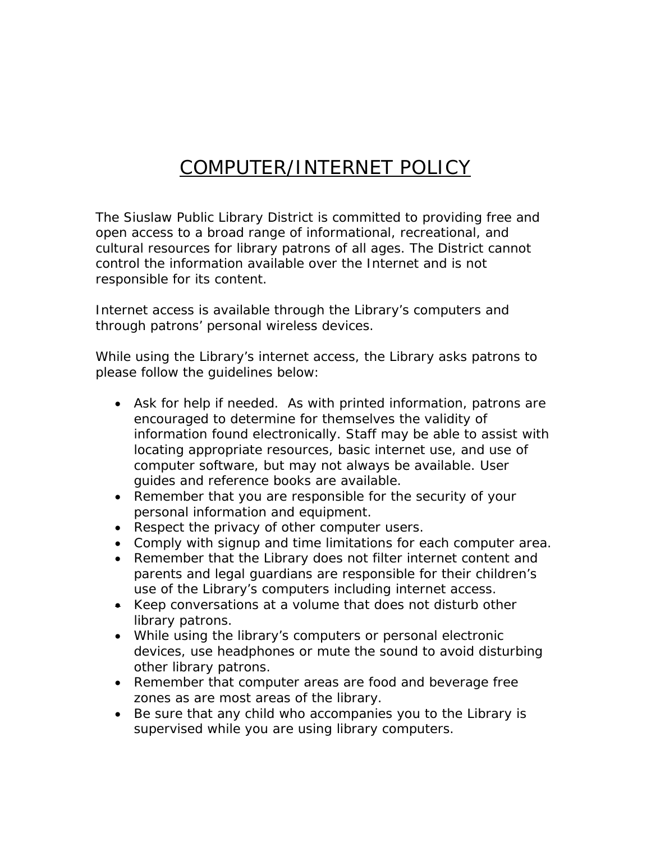## COMPUTER/INTERNET POLICY

The Siuslaw Public Library District is committed to providing free and open access to a broad range of informational, recreational, and cultural resources for library patrons of all ages. The District cannot control the information available over the Internet and is not responsible for its content.

Internet access is available through the Library's computers and through patrons' personal wireless devices.

While using the Library's internet access, the Library asks patrons to please follow the guidelines below:

- Ask for help if needed. As with printed information, patrons are encouraged to determine for themselves the validity of information found electronically. Staff may be able to assist with locating appropriate resources, basic internet use, and use of computer software, but may not always be available. User guides and reference books are available.
- Remember that you are responsible for the security of your personal information and equipment.
- Respect the privacy of other computer users.
- Comply with signup and time limitations for each computer area.
- Remember that the Library does not filter internet content and parents and legal guardians are responsible for their children's use of the Library's computers including internet access.
- Keep conversations at a volume that does not disturb other library patrons.
- While using the library's computers or personal electronic devices, use headphones or mute the sound to avoid disturbing other library patrons.
- Remember that computer areas are food and beverage free zones as are most areas of the library.
- Be sure that any child who accompanies you to the Library is supervised while you are using library computers.